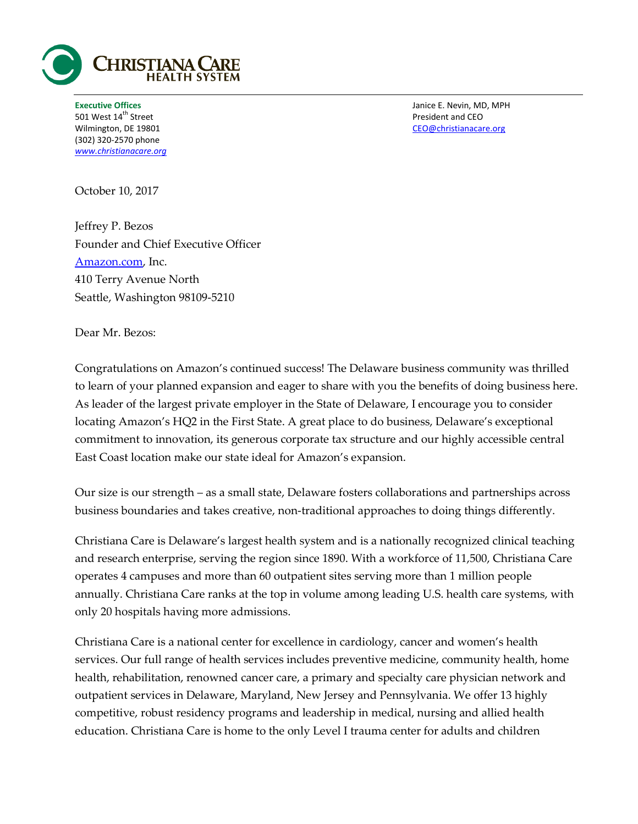

501 West 14<sup>th</sup> Street **President and CEO** (302) 320-2570 phone *[www.christianacare.org](http://www.christianacare.org/)*

**Executive Offices** Janice E. Nevin, MD, MPH Wilmington, DE 19801 CEO@christianacare.org

October 10, 2017

Jeffrey P. Bezos Founder and Chief Executive Officer [Amazon.com,](http://amazon.com/) Inc. 410 Terry Avenue North Seattle, Washington 98109-5210

Dear Mr. Bezos:

Congratulations on Amazon's continued success! The Delaware business community was thrilled to learn of your planned expansion and eager to share with you the benefits of doing business here. As leader of the largest private employer in the State of Delaware, I encourage you to consider locating Amazon's HQ2 in the First State. A great place to do business, Delaware's exceptional commitment to innovation, its generous corporate tax structure and our highly accessible central East Coast location make our state ideal for Amazon's expansion.

Our size is our strength – as a small state, Delaware fosters collaborations and partnerships across business boundaries and takes creative, non-traditional approaches to doing things differently.

Christiana Care is Delaware's largest health system and is a nationally recognized clinical teaching and research enterprise, serving the region since 1890. With a workforce of 11,500, Christiana Care operates 4 campuses and more than 60 outpatient sites serving more than 1 million people annually. Christiana Care ranks at the top in volume among leading U.S. health care systems, with only 20 hospitals having more admissions.

Christiana Care is a national center for excellence in cardiology, cancer and women's health services. Our full range of health services includes preventive medicine, community health, home health, rehabilitation, renowned cancer care, a primary and specialty care physician network and outpatient services in Delaware, Maryland, New Jersey and Pennsylvania. We offer 13 highly competitive, robust residency programs and leadership in medical, nursing and allied health education. Christiana Care is home to the only Level I trauma center for adults and children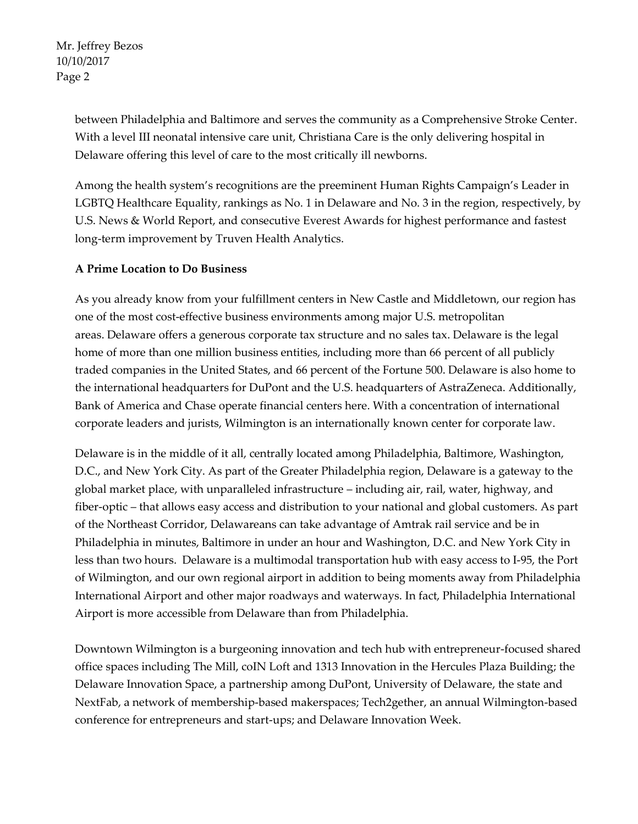Mr. Jeffrey Bezos 10/10/2017 Page 2

> between Philadelphia and Baltimore and serves the community as a Comprehensive Stroke Center. With a level III neonatal intensive care unit, Christiana Care is the only delivering hospital in Delaware offering this level of care to the most critically ill newborns.

> Among the health system's recognitions are the preeminent Human Rights Campaign's Leader in LGBTQ Healthcare Equality, rankings as No. 1 in Delaware and No. 3 in the region, respectively, by U.S. News & World Report, and consecutive Everest Awards for highest performance and fastest long-term improvement by Truven Health Analytics.

## **A Prime Location to Do Business**

As you already know from your fulfillment centers in New Castle and Middletown, our region has one of the most cost-effective business environments among major U.S. metropolitan areas. Delaware offers a generous corporate tax structure and no sales tax. Delaware is the legal home of more than one million business entities, including more than 66 percent of all publicly traded companies in the United States, and 66 percent of the Fortune 500. Delaware is also home to the international headquarters for DuPont and the U.S. headquarters of AstraZeneca. Additionally, Bank of America and Chase operate financial centers here. With a concentration of international corporate leaders and jurists, Wilmington is an internationally known center for corporate law.

Delaware is in the middle of it all, centrally located among Philadelphia, Baltimore, Washington, D.C., and New York City. As part of the Greater Philadelphia region, Delaware is a gateway to the global market place, with unparalleled infrastructure – including air, rail, water, highway, and fiber-optic – that allows easy access and distribution to your national and global customers. As part of the Northeast Corridor, Delawareans can take advantage of Amtrak rail service and be in Philadelphia in minutes, Baltimore in under an hour and Washington, D.C. and New York City in less than two hours. Delaware is a multimodal transportation hub with easy access to I-95, the Port of Wilmington, and our own regional airport in addition to being moments away from Philadelphia International Airport and other major roadways and waterways. In fact, Philadelphia International Airport is more accessible from Delaware than from Philadelphia.

Downtown Wilmington is a burgeoning innovation and tech hub with entrepreneur-focused shared office spaces including The Mill, coIN Loft and 1313 Innovation in the Hercules Plaza Building; the Delaware Innovation Space, a partnership among DuPont, University of Delaware, the state and NextFab, a network of membership-based makerspaces; Tech2gether, an annual Wilmington-based conference for entrepreneurs and start-ups; and Delaware Innovation Week.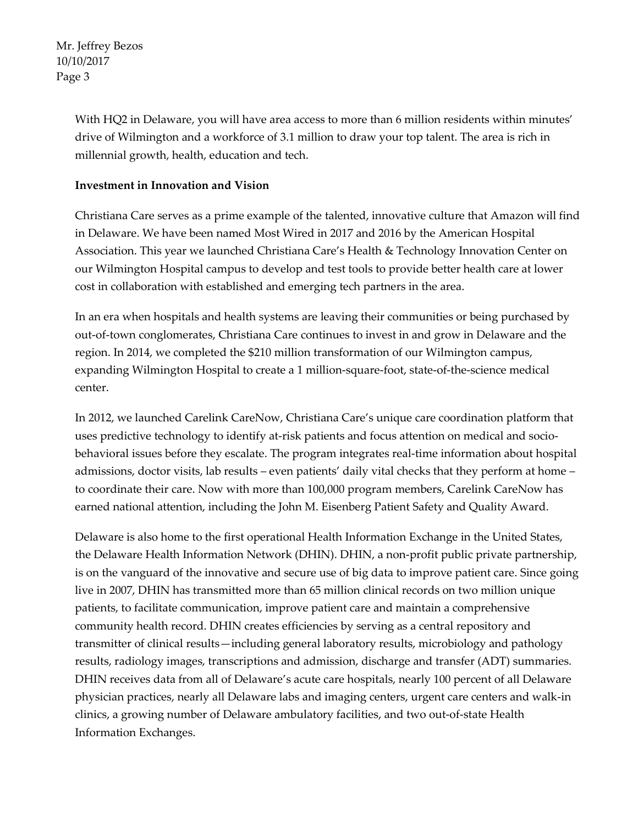Mr. Jeffrey Bezos 10/10/2017 Page 3

> With HQ2 in Delaware, you will have area access to more than 6 million residents within minutes' drive of Wilmington and a workforce of 3.1 million to draw your top talent. The area is rich in millennial growth, health, education and tech.

## **Investment in Innovation and Vision**

Christiana Care serves as a prime example of the talented, innovative culture that Amazon will find in Delaware. We have been named Most Wired in 2017 and 2016 by the American Hospital Association. This year we launched Christiana Care's Health & Technology Innovation Center on our Wilmington Hospital campus to develop and test tools to provide better health care at lower cost in collaboration with established and emerging tech partners in the area.

In an era when hospitals and health systems are leaving their communities or being purchased by out-of-town conglomerates, Christiana Care continues to invest in and grow in Delaware and the region. In 2014, we completed the \$210 million transformation of our Wilmington campus, expanding Wilmington Hospital to create a 1 million-square-foot, state-of-the-science medical center.

In 2012, we launched Carelink CareNow, Christiana Care's unique care coordination platform that uses predictive technology to identify at-risk patients and focus attention on medical and sociobehavioral issues before they escalate. The program integrates real-time information about hospital admissions, doctor visits, lab results – even patients' daily vital checks that they perform at home – to coordinate their care. Now with more than 100,000 program members, Carelink CareNow has earned national attention, including the John M. Eisenberg Patient Safety and Quality Award.

Delaware is also home to the first operational Health Information Exchange in the United States, the Delaware Health Information Network (DHIN). DHIN, a non-profit public private partnership, is on the vanguard of the innovative and secure use of big data to improve patient care. Since going live in 2007, DHIN has transmitted more than 65 million clinical records on two million unique patients, to facilitate communication, improve patient care and maintain a comprehensive community health record. DHIN creates efficiencies by serving as a central repository and transmitter of clinical results—including general laboratory results, microbiology and pathology results, radiology images, transcriptions and admission, discharge and transfer (ADT) summaries. DHIN receives data from all of Delaware's acute care hospitals, nearly 100 percent of all Delaware physician practices, nearly all Delaware labs and imaging centers, urgent care centers and walk-in clinics, a growing number of Delaware ambulatory facilities, and two out-of-state Health Information Exchanges.